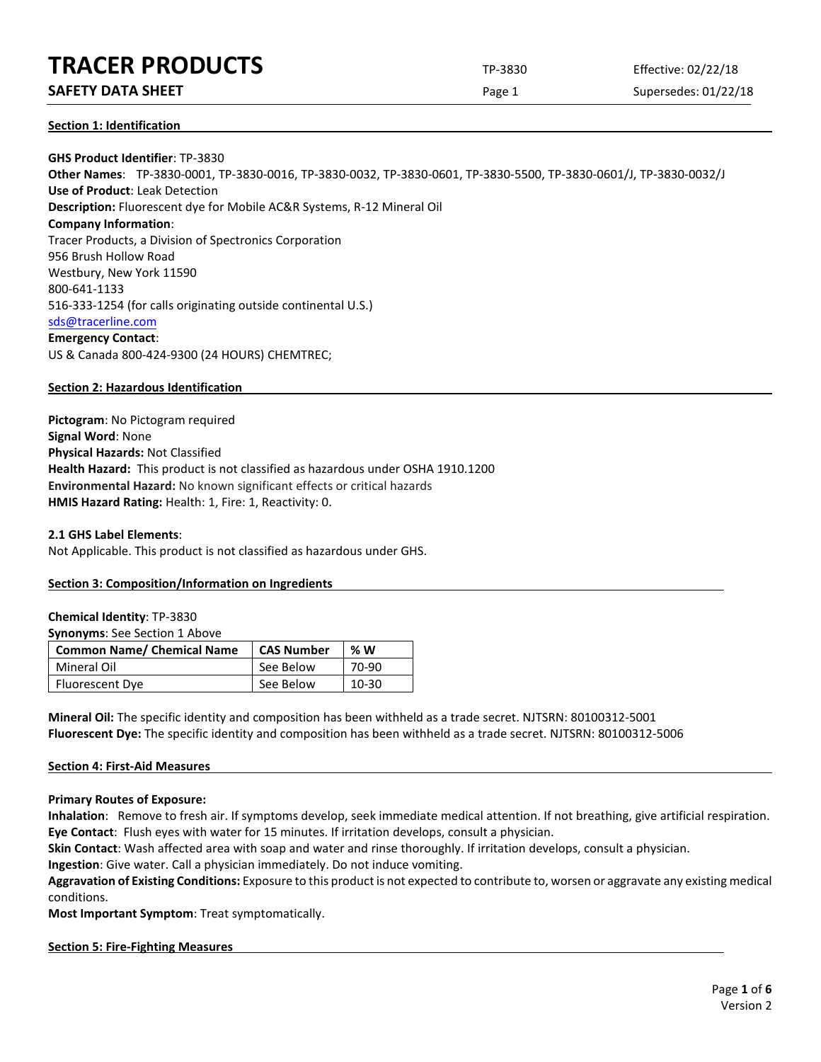# **SAFETY DATA SHEET** SUPERFOUR CONSUMING THE Page 1 Supersedes: 01/22/18

## **Section 1: Identification**

**GHS Product Identifier**: TP-3830 **Other Names**: TP-3830-0001, TP-3830-0016, TP-3830-0032, TP-3830-0601, TP-3830-5500, TP-3830-0601/J, TP-3830-0032/J **Use of Product**: Leak Detection **Description:** Fluorescent dye for Mobile AC&R Systems, R-12 Mineral Oil **Company Information**: Tracer Products, a Division of Spectronics Corporation 956 Brush Hollow Road Westbury, New York 11590 800-641-1133 516-333-1254 (for calls originating outside continental U.S.) [sds@tracerline.com](mailto:sds@tracerline.com) **Emergency Contact**: US & Canada 800-424-9300 (24 HOURS) CHEMTREC;

# **Section 2: Hazardous Identification**

**Pictogram**: No Pictogram required **Signal Word**: None **Physical Hazards:** Not Classified **Health Hazard:** This product is not classified as hazardous under OSHA 1910.1200 **Environmental Hazard:** No known significant effects or critical hazards **HMIS Hazard Rating:** Health: 1, Fire: 1, Reactivity: 0.

#### **2.1 GHS Label Elements**:

Not Applicable. This product is not classified as hazardous under GHS.

#### **Section 3: Composition/Information on Ingredients**

#### **Chemical Identity**: TP-3830

**Synonyms**: See Section 1 Above

| <b>Common Name/ Chemical Name</b> | <b>CAS Number</b> | %W        |
|-----------------------------------|-------------------|-----------|
| Mineral Oil                       | See Below         | 70-90     |
| <b>Fluorescent Dye</b>            | See Below         | $10 - 30$ |

**Mineral Oil:** The specific identity and composition has been withheld as a trade secret. NJTSRN: 80100312-5001 **Fluorescent Dye:** The specific identity and composition has been withheld as a trade secret. NJTSRN: 80100312-5006

# **Section 4: First-Aid Measures**

**Primary Routes of Exposure:**

**Inhalation**: Remove to fresh air. If symptoms develop, seek immediate medical attention. If not breathing, give artificial respiration. **Eye Contact**: Flush eyes with water for 15 minutes. If irritation develops, consult a physician.

**Skin Contact**: Wash affected area with soap and water and rinse thoroughly. If irritation develops, consult a physician.

**Ingestion**: Give water. Call a physician immediately. Do not induce vomiting.

**Aggravation of Existing Conditions:** Exposure to this product is not expected to contribute to, worsen or aggravate any existing medical conditions.

**Most Important Symptom**: Treat symptomatically.

#### **Section 5: Fire-Fighting Measures**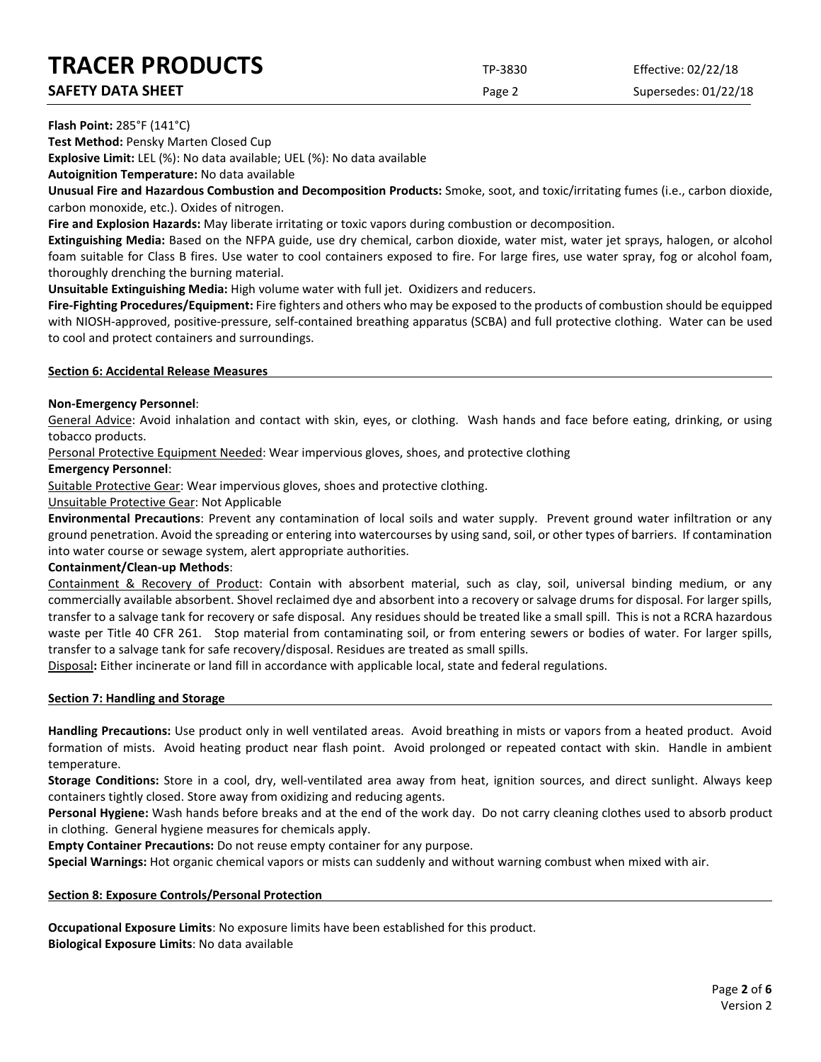**SAFETY DATA SHEET** SUPERFOUR CONSUMING THE Page 2 Supersedes: 01/22/18

## **Flash Point:** 285°F (141°C)

**Test Method:** Pensky Marten Closed Cup

**Explosive Limit:** LEL (%): No data available; UEL (%): No data available

**Autoignition Temperature:** No data available

**Unusual Fire and Hazardous Combustion and Decomposition Products:** Smoke, soot, and toxic/irritating fumes (i.e., carbon dioxide, carbon monoxide, etc.). Oxides of nitrogen.

**Fire and Explosion Hazards:** May liberate irritating or toxic vapors during combustion or decomposition.

**Extinguishing Media:** Based on the NFPA guide, use dry chemical, carbon dioxide, water mist, water jet sprays, halogen, or alcohol foam suitable for Class B fires. Use water to cool containers exposed to fire. For large fires, use water spray, fog or alcohol foam, thoroughly drenching the burning material.

**Unsuitable Extinguishing Media:** High volume water with full jet. Oxidizers and reducers.

**Fire-Fighting Procedures/Equipment:** Fire fighters and others who may be exposed to the products of combustion should be equipped with NIOSH-approved, positive-pressure, self-contained breathing apparatus (SCBA) and full protective clothing. Water can be used to cool and protect containers and surroundings.

## **Section 6: Accidental Release Measures**

# **Non-Emergency Personnel**:

General Advice: Avoid inhalation and contact with skin, eyes, or clothing. Wash hands and face before eating, drinking, or using tobacco products.

Personal Protective Equipment Needed: Wear impervious gloves, shoes, and protective clothing

# **Emergency Personnel**:

Suitable Protective Gear: Wear impervious gloves, shoes and protective clothing.

Unsuitable Protective Gear: Not Applicable

**Environmental Precautions**: Prevent any contamination of local soils and water supply. Prevent ground water infiltration or any ground penetration. Avoid the spreading or entering into watercourses by using sand, soil, or other types of barriers. If contamination into water course or sewage system, alert appropriate authorities.

# **Containment/Clean-up Methods**:

Containment & Recovery of Product: Contain with absorbent material, such as clay, soil, universal binding medium, or any commercially available absorbent. Shovel reclaimed dye and absorbent into a recovery or salvage drums for disposal. For larger spills, transfer to a salvage tank for recovery or safe disposal. Any residues should be treated like a small spill. This is not a RCRA hazardous waste per Title 40 CFR 261. Stop material from contaminating soil, or from entering sewers or bodies of water. For larger spills, transfer to a salvage tank for safe recovery/disposal. Residues are treated as small spills.

Disposal**:** Either incinerate or land fill in accordance with applicable local, state and federal regulations.

# **Section 7: Handling and Storage**

**Handling Precautions:** Use product only in well ventilated areas. Avoid breathing in mists or vapors from a heated product. Avoid formation of mists. Avoid heating product near flash point. Avoid prolonged or repeated contact with skin. Handle in ambient temperature.

**Storage Conditions:** Store in a cool, dry, well-ventilated area away from heat, ignition sources, and direct sunlight. Always keep containers tightly closed. Store away from oxidizing and reducing agents.

**Personal Hygiene:** Wash hands before breaks and at the end of the work day. Do not carry cleaning clothes used to absorb product in clothing. General hygiene measures for chemicals apply.

**Empty Container Precautions:** Do not reuse empty container for any purpose.

**Special Warnings:** Hot organic chemical vapors or mists can suddenly and without warning combust when mixed with air.

# **Section 8: Exposure Controls/Personal Protection**

**Occupational Exposure Limits**: No exposure limits have been established for this product. **Biological Exposure Limits**: No data available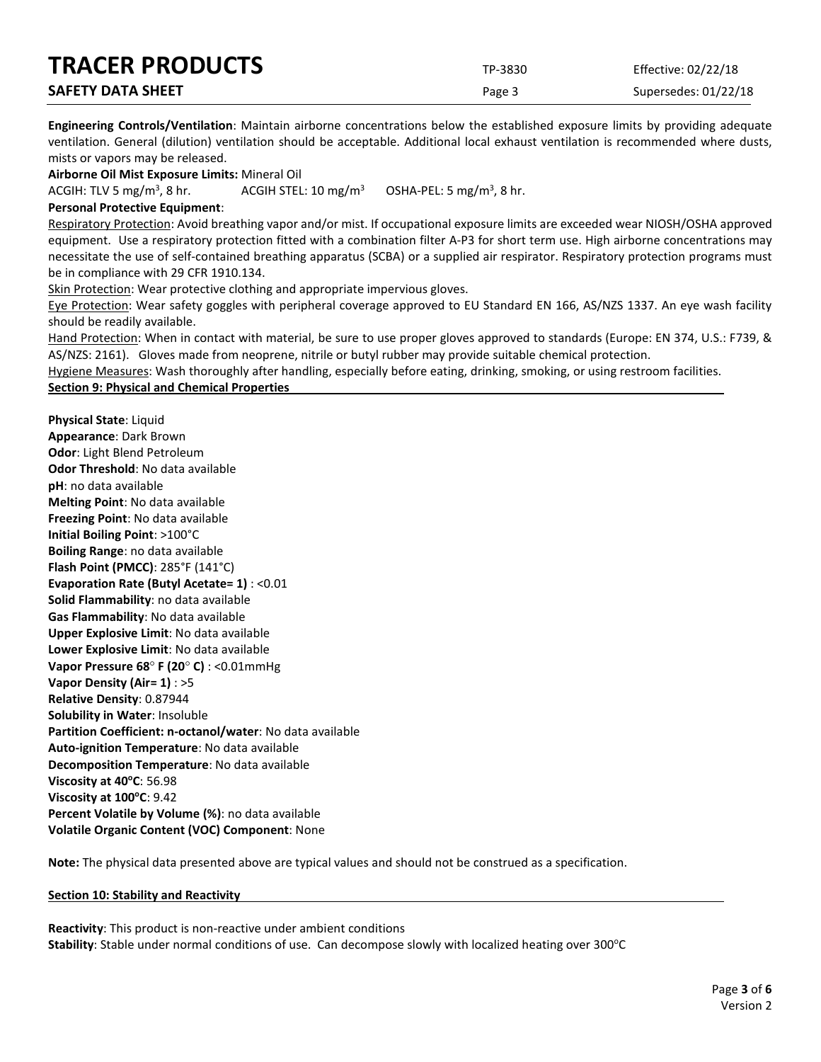| <b>TRACER PRODUCTS</b>   | TP-3830 | Effective: 02/22/18  |
|--------------------------|---------|----------------------|
| <b>SAFETY DATA SHEET</b> | Page 3  | Supersedes: 01/22/18 |

**Engineering Controls/Ventilation**: Maintain airborne concentrations below the established exposure limits by providing adequate ventilation. General (dilution) ventilation should be acceptable. Additional local exhaust ventilation is recommended where dusts, mists or vapors may be released.

**Airborne Oil Mist Exposure Limits:** Mineral Oil

ACGIH: TLV 5 mg/m<sup>3</sup>, 8 hr. ACGIH STEL:  $10 \text{ mg/m}^3$ OSHA-PEL: 5 mg/m<sup>3</sup>, 8 hr.

#### **Personal Protective Equipment**:

Respiratory Protection: Avoid breathing vapor and/or mist. If occupational exposure limits are exceeded wear NIOSH/OSHA approved equipment. Use a respiratory protection fitted with a combination filter A-P3 for short term use. High airborne concentrations may necessitate the use of self-contained breathing apparatus (SCBA) or a supplied air respirator. Respiratory protection programs must be in compliance with 29 CFR 1910.134.

Skin Protection: Wear protective clothing and appropriate impervious gloves.

Eye Protection: Wear safety goggles with peripheral coverage approved to EU Standard EN 166, AS/NZS 1337. An eye wash facility should be readily available.

Hand Protection: When in contact with material, be sure to use proper gloves approved to standards (Europe: EN 374, U.S.: F739, & AS/NZS: 2161). Gloves made from neoprene, nitrile or butyl rubber may provide suitable chemical protection.

Hygiene Measures: Wash thoroughly after handling, especially before eating, drinking, smoking, or using restroom facilities.

#### **Section 9: Physical and Chemical Properties**

**Physical State**: Liquid **Appearance**: Dark Brown **Odor**: Light Blend Petroleum **Odor Threshold**: No data available **pH**: no data available **Melting Point**: No data available **Freezing Point**: No data available **Initial Boiling Point**: >100°C **Boiling Range**: no data available **Flash Point (PMCC)**: 285°F (141°C) **Evaporation Rate (Butyl Acetate= 1)** : <0.01 **Solid Flammability**: no data available **Gas Flammability**: No data available **Upper Explosive Limit**: No data available **Lower Explosive Limit**: No data available **Vapor Pressure 68**° **F (20**° **C)** : <0.01mmHg **Vapor Density (Air= 1)** : >5 **Relative Density**: 0.87944 **Solubility in Water**: Insoluble **Partition Coefficient: n-octanol/water**: No data available **Auto-ignition Temperature**: No data available **Decomposition Temperature**: No data available **Viscosity at 40°C: 56.98 Viscosity at 100°C: 9.42 Percent Volatile by Volume (%)**: no data available **Volatile Organic Content (VOC) Component**: None

**Note:** The physical data presented above are typical values and should not be construed as a specification.

#### **Section 10: Stability and Reactivity**

**Reactivity**: This product is non-reactive under ambient conditions Stability: Stable under normal conditions of use. Can decompose slowly with localized heating over 300°C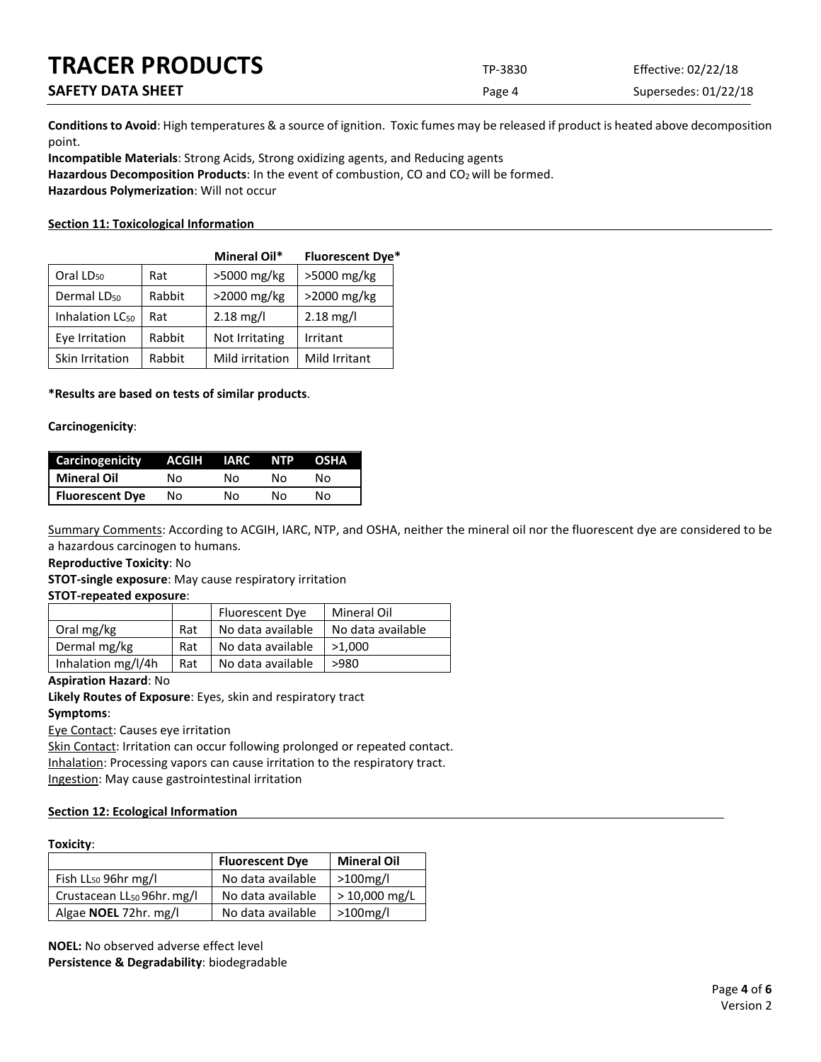| <b>TRACER PRODUCTS</b>   | TP-3830 | Effective: 02/22/18  |
|--------------------------|---------|----------------------|
| <b>SAFETY DATA SHEET</b> | Page 4  | Supersedes: 01/22/18 |

**Conditions to Avoid**: High temperatures & a source of ignition. Toxic fumes may be released if product is heated above decomposition point.

**Incompatible Materials**: Strong Acids, Strong oxidizing agents, and Reducing agents Hazardous Decomposition Products: In the event of combustion, CO and CO<sub>2</sub> will be formed. **Hazardous Polymerization**: Will not occur

## **Section 11: Toxicological Information**

|                             |        | <b>Mineral Oil*</b> | <b>Fluorescent Dye*</b> |
|-----------------------------|--------|---------------------|-------------------------|
| Oral LD <sub>50</sub>       | Rat    | >5000 mg/kg         | >5000 mg/kg             |
| Dermal LD <sub>50</sub>     | Rabbit | $>2000$ mg/kg       | $>2000$ mg/kg           |
| Inhalation LC <sub>50</sub> | Rat    | $2.18 \text{ mg/l}$ | $2.18 \text{ mg/l}$     |
| Eye Irritation              | Rabbit | Not Irritating      | Irritant                |
| Skin Irritation             | Rabbit | Mild irritation     | Mild Irritant           |

## **\*Results are based on tests of similar products**.

#### **Carcinogenicity**:

| <b>Carcinogenicity</b> | ACGIH | <b>IARC</b> | <b>NTP</b> | <b>OSHA</b> |
|------------------------|-------|-------------|------------|-------------|
| Mineral Oil            | N٥    | N٥          | N٥         | N٥          |
| <b>Fluorescent Dye</b> | No    | No          | N٥         | N٥          |

Summary Comments: According to ACGIH, IARC, NTP, and OSHA, neither the mineral oil nor the fluorescent dye are considered to be a hazardous carcinogen to humans.

**Reproductive Toxicity**: No

**STOT-single exposure**: May cause respiratory irritation

#### **STOT-repeated exposure**:

|                    |     | Fluorescent Dye   | Mineral Oil       |
|--------------------|-----|-------------------|-------------------|
| Oral mg/kg         | Rat | No data available | No data available |
| Dermal mg/kg       | Rat | No data available | >1.000            |
| Inhalation mg/l/4h | Rat | No data available | >980              |

#### **Aspiration Hazard**: No

**Likely Routes of Exposure**: Eyes, skin and respiratory tract

#### **Symptoms**:

Eye Contact: Causes eye irritation

Skin Contact: Irritation can occur following prolonged or repeated contact. Inhalation: Processing vapors can cause irritation to the respiratory tract. Ingestion: May cause gastrointestinal irritation

#### **Section 12: Ecological Information**

#### **Toxicity**:

|                                        | <b>Fluorescent Dye</b> | <b>Mineral Oil</b> |
|----------------------------------------|------------------------|--------------------|
| Fish LL <sub>50</sub> 96hr mg/l        | No data available      | $>100$ mg/l        |
| Crustacean LL <sub>50</sub> 96hr. mg/l | No data available      | $> 10,000$ mg/L    |
| Algae <b>NOEL</b> 72hr. mg/l           | No data available      | $>100$ mg/l        |

**NOEL:** No observed adverse effect level **Persistence & Degradability**: biodegradable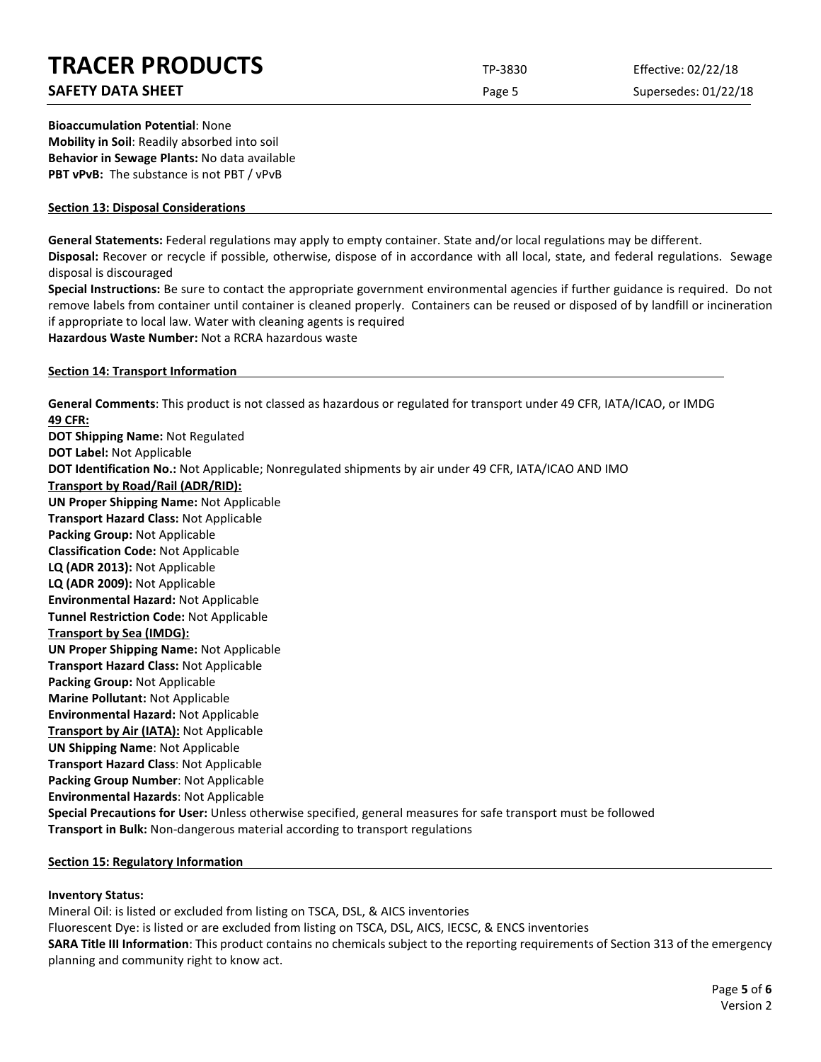# **SAFETY DATA SHEET** SUPERFOUR SAFET ASSESSED A REPORT OF SUPERFOURING SUPERFOURING SUPERFOURING SUPERFOURING SUPERFOURING SUPERFOURING SUPERFOURING SUPERFOURING SUPERFOURING SUPERFOURING SUPERFOURING SUPERFOURING SUPERFOUR

**Bioaccumulation Potential**: None **Mobility in Soil**: Readily absorbed into soil **Behavior in Sewage Plants:** No data available **PBT vPvB:** The substance is not PBT / vPvB

## **Section 13: Disposal Considerations**

**General Statements:** Federal regulations may apply to empty container. State and/or local regulations may be different.

**Disposal:** Recover or recycle if possible, otherwise, dispose of in accordance with all local, state, and federal regulations. Sewage disposal is discouraged

**Special Instructions:** Be sure to contact the appropriate government environmental agencies if further guidance is required. Do not remove labels from container until container is cleaned properly. Containers can be reused or disposed of by landfill or incineration if appropriate to local law. Water with cleaning agents is required

**Hazardous Waste Number:** Not a RCRA hazardous waste

## **Section 14: Transport Information**

**General Comments**: This product is not classed as hazardous or regulated for transport under 49 CFR, IATA/ICAO, or IMDG **49 CFR: DOT Shipping Name:** Not Regulated **DOT Label:** Not Applicable **DOT Identification No.:** Not Applicable; Nonregulated shipments by air under 49 CFR, IATA/ICAO AND IMO **Transport by Road/Rail (ADR/RID): UN Proper Shipping Name:** Not Applicable **Transport Hazard Class:** Not Applicable **Packing Group:** Not Applicable **Classification Code:** Not Applicable **LQ (ADR 2013):** Not Applicable **LQ (ADR 2009):** Not Applicable **Environmental Hazard:** Not Applicable **Tunnel Restriction Code:** Not Applicable **Transport by Sea (IMDG): UN Proper Shipping Name:** Not Applicable **Transport Hazard Class:** Not Applicable **Packing Group:** Not Applicable **Marine Pollutant:** Not Applicable **Environmental Hazard:** Not Applicable **Transport by Air (IATA):** Not Applicable **UN Shipping Name**: Not Applicable **Transport Hazard Class**: Not Applicable **Packing Group Number**: Not Applicable **Environmental Hazards**: Not Applicable **Special Precautions for User:** Unless otherwise specified, general measures for safe transport must be followed **Transport in Bulk:** Non-dangerous material according to transport regulations

#### **Section 15: Regulatory Information**

# **Inventory Status:**

Mineral Oil: is listed or excluded from listing on TSCA, DSL, & AICS inventories Fluorescent Dye: is listed or are excluded from listing on TSCA, DSL, AICS, IECSC, & ENCS inventories **SARA Title III Information**: This product contains no chemicals subject to the reporting requirements of Section 313 of the emergency planning and community right to know act.